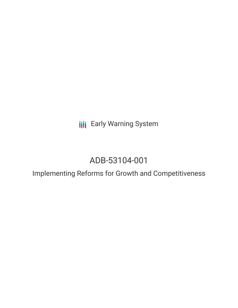**III** Early Warning System

# ADB-53104-001

Implementing Reforms for Growth and Competitiveness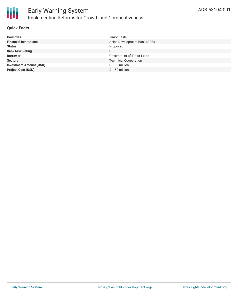

#### **Quick Facts**

| Timor-Leste                      |
|----------------------------------|
| Asian Development Bank (ADB)     |
| Proposed                         |
| U                                |
| <b>Government of Timor-Leste</b> |
| <b>Technical Cooperation</b>     |
| $$1.00$ million                  |
| $$1.50$ million                  |
|                                  |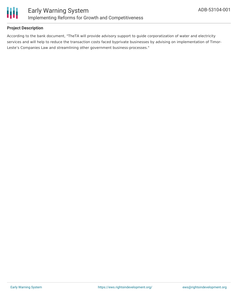

#### **Project Description**

According to the bank document, "TheTA will provide advisory support to guide corporatization of water and electricity services and will help to reduce the transaction costs faced byprivate businesses by advising on implementation of Timor-Leste's Companies Law and streamlining other government business-processes."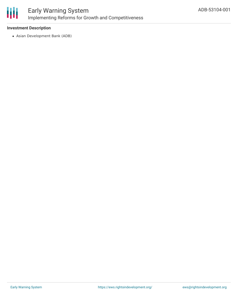

## Early Warning System Implementing Reforms for Growth and Competitiveness

#### **Investment Description**

Asian Development Bank (ADB)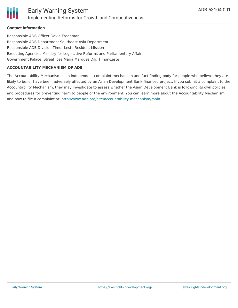#### **Contact Information**

Responsible ADB Officer David Freedman Responsible ADB Department Southeast Asia Department Responsible ADB Division Timor-Leste Resident Mission Executing Agencies Ministry for Legislative Reforms and Parliamentary Affairs Government Palace, Street Jose Maria Marques Dili, Timor-Leste

#### **ACCOUNTABILITY MECHANISM OF ADB**

The Accountability Mechanism is an independent complaint mechanism and fact-finding body for people who believe they are likely to be, or have been, adversely affected by an Asian Development Bank-financed project. If you submit a complaint to the Accountability Mechanism, they may investigate to assess whether the Asian Development Bank is following its own policies and procedures for preventing harm to people or the environment. You can learn more about the Accountability Mechanism and how to file a complaint at: <http://www.adb.org/site/accountability-mechanism/main>